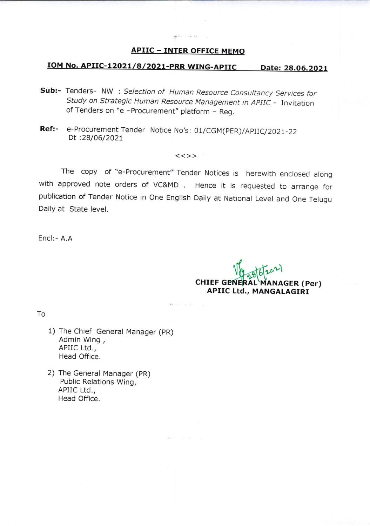### APIIC - INTER OFFICE MEMO

service control

# IOM No. APIIC-12021/8/2021-PRR WING-APIIC Date: 28.06.2021

- Sub:- Tenders- NW : Selection of Human Resource Consultancy Services for study on strategic Human Resource Management in ApIIC - Invitation of Tenders on "e -Procurement" platform - Reg.
- Ref:- e-Procurement Tender Notice No's: 01/CGM(PER)/APIIC/2021-22 Dt:28/06/2027

#### $<<$ >>

The copy of "e-Procurement" Tender Notices is herewith enclosed along with approved note orders of VC&MD. Hence it is requested to arrange for publication of Tender Notice in One English Daily at National Level and One Telugu Daily at State level.

 $\label{eq:10} \frac{1}{\sqrt{2}}\int_{0}^{2\pi} \frac{d\mu}{\mu} \left( \frac{d\mu}{\mu} \right)^2 \left( \frac{d\mu}{\mu} \right)^2 \left( \frac{d\mu}{\mu} \right)^2 \left( \frac{d\mu}{\mu} \right)^2 \left( \frac{d\mu}{\mu} \right)^2 \left( \frac{d\mu}{\mu} \right)^2 \left( \frac{d\mu}{\mu} \right)^2 \left( \frac{d\mu}{\mu} \right)^2 \left( \frac{d\mu}{\mu} \right)^2 \left( \frac{d\mu}{\mu} \right)^2 \left( \frac{d\mu}{\mu$ 

Encl:- A.A

CHIEF GENERÁL MANAGER (Per)<br>APIIC Ltd., MANGALAGIRI

To

- 1) The Chief General Manager (pR) Admin Wing , APIIC Ltd., Head Office.
- 2) The General Manager (PR) Public Relations Wing, APIIC Ltd,, Head Office.